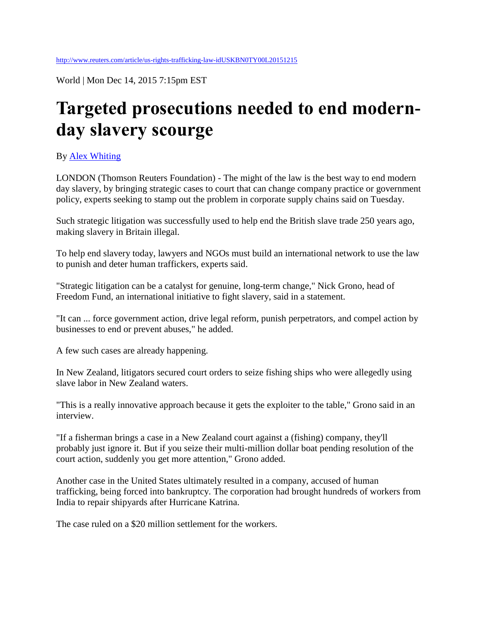World | Mon Dec 14, 2015 7:15pm EST

## **Targeted prosecutions needed to end modernday slavery scourge**

## By [Alex Whiting](http://blogs.reuters.com/search/journalist.php?edition=us&n=alex.whiting&)

LONDON (Thomson Reuters Foundation) - The might of the law is the best way to end modern day slavery, by bringing strategic cases to court that can change company practice or government policy, experts seeking to stamp out the problem in corporate supply chains said on Tuesday.

Such strategic litigation was successfully used to help end the British slave trade 250 years ago, making slavery in Britain illegal.

To help end slavery today, lawyers and NGOs must build an international network to use the law to punish and deter human traffickers, experts said.

"Strategic litigation can be a catalyst for genuine, long-term change," Nick Grono, head of Freedom Fund, an international initiative to fight slavery, said in a statement.

"It can ... force government action, drive legal reform, punish perpetrators, and compel action by businesses to end or prevent abuses," he added.

A few such cases are already happening.

In New Zealand, litigators secured court orders to seize fishing ships who were allegedly using slave labor in New Zealand waters.

"This is a really innovative approach because it gets the exploiter to the table," Grono said in an interview.

"If a fisherman brings a case in a New Zealand court against a (fishing) company, they'll probably just ignore it. But if you seize their multi-million dollar boat pending resolution of the court action, suddenly you get more attention," Grono added.

Another case in the United States ultimately resulted in a company, accused of human trafficking, being forced into bankruptcy. The corporation had brought hundreds of workers from India to repair shipyards after Hurricane Katrina.

The case ruled on a \$20 million settlement for the workers.